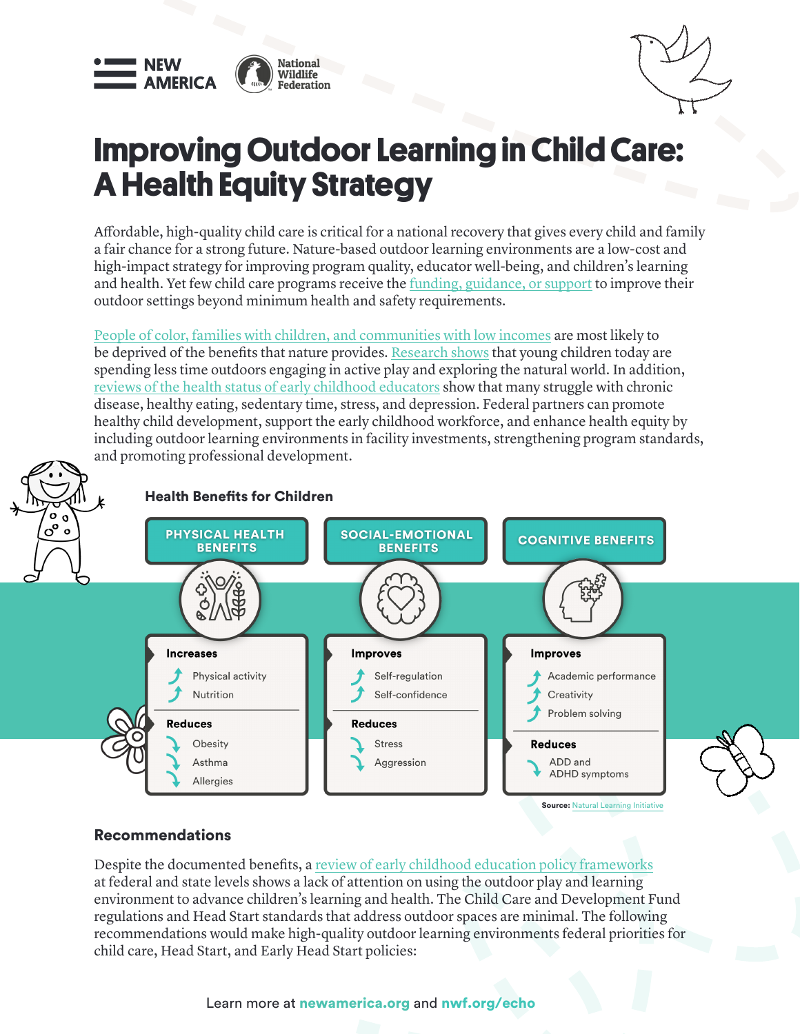

# **Improving Outdoor Learning in Child Care: A Health Equity Strategy**

Affordable, high-quality child care is critical for a national recovery that gives every child and family a fair chance for a strong future. Nature-based outdoor learning environments are a low-cost and high-impact strategy for improving program quality, educator well-being, and children's learning and health. Yet few child care programs receive the funding, guidance, or support to improve their outdoor settings beyond minimum health and safety requirements.

People of color, families with children, and communities with low incomes are most likely to be deprived of the benefits that nature provides. Research shows that young children today are spending less time outdoors engaging in active play and exploring the natural world. In addition, reviews of the health status of early childhood educators show that many struggle with chronic disease, healthy eating, sedentary time, stress, and depression. Federal partners can promote healthy child development, support the early childhood workforce, and enhance health equity by including outdoor learning environments in facility investments, strengthening program standards, and promoting professional development.



#### Health Benefits for Children



#### Recommendations

Despite the documented benefits, a review of early childhood education policy frameworks at federal and state levels shows a lack of attention on using the outdoor play and learning environment to advance children's learning and health. The Child Care and Development Fund regulations and Head Start standards that address outdoor spaces are minimal. The following recommendations would make high-quality outdoor learning environments federal priorities for child care, Head Start, and Early Head Start policies:

Learn more at newamerica.org and nwf.org/echo